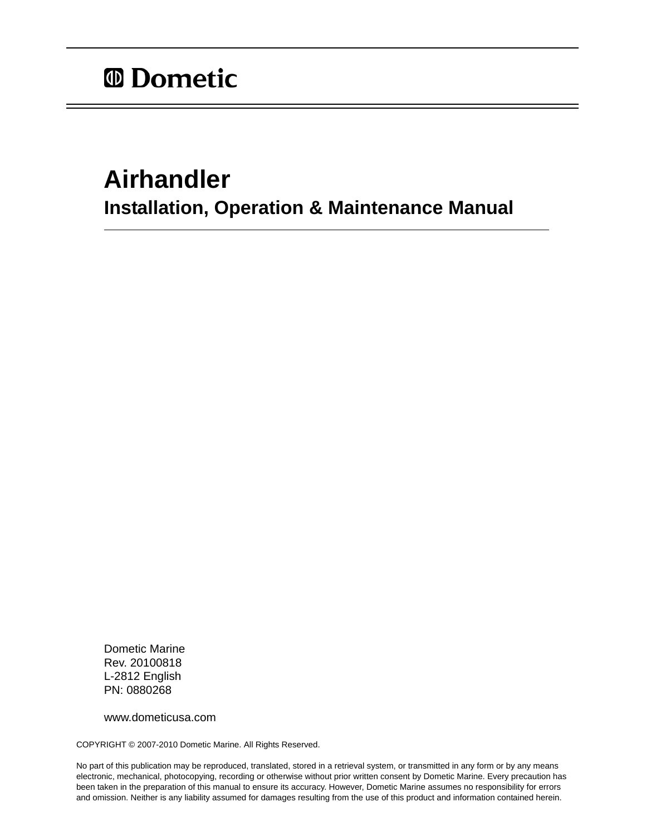# *<sup>ID</sup>* Dometic

# **Airhandler**

**Installation, Operation & Maintenance Manual**

Dometic Marine Rev. 20100818 L-2812 English PN: 0880268

www.dometicusa.com

COPYRIGHT © 2007-2010 Dometic Marine. All Rights Reserved.

No part of this publication may be reproduced, translated, stored in a retrieval system, or transmitted in any form or by any means electronic, mechanical, photocopying, recording or otherwise without prior written consent by Dometic Marine. Every precaution has been taken in the preparation of this manual to ensure its accuracy. However, Dometic Marine assumes no responsibility for errors and omission. Neither is any liability assumed for damages resulting from the use of this product and information contained herein.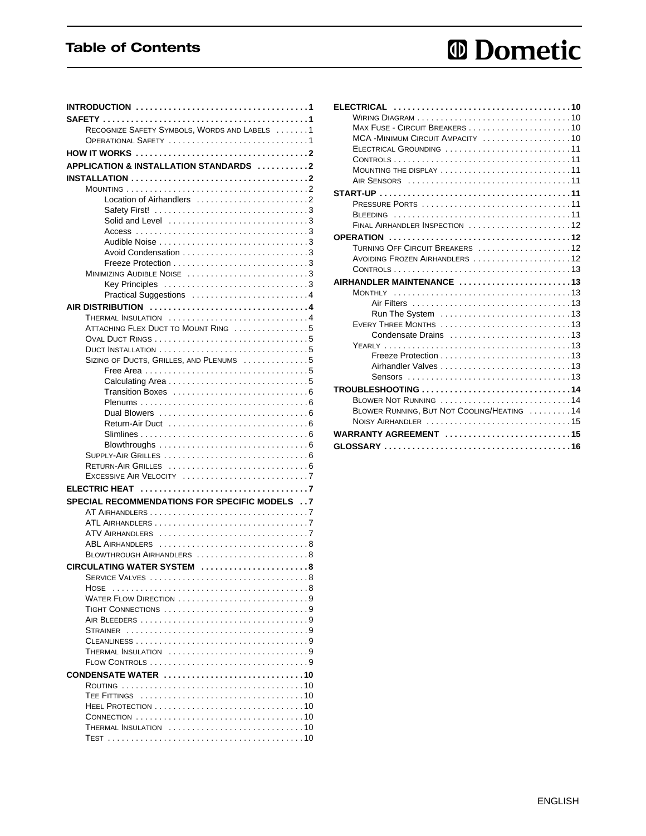# Table of Contents

# **<sup>®</sup>** Dometic

| RECOGNIZE SAFETY SYMBOLS, WORDS AND LABELS 1                                                              |
|-----------------------------------------------------------------------------------------------------------|
| OPERATIONAL SAFETY 1                                                                                      |
|                                                                                                           |
| APPLICATION & INSTALLATION STANDARDS 2                                                                    |
|                                                                                                           |
|                                                                                                           |
|                                                                                                           |
|                                                                                                           |
| Solid and Level 3                                                                                         |
|                                                                                                           |
|                                                                                                           |
|                                                                                                           |
| MINIMIZING AUDIBLE NOISE 3                                                                                |
| Key Principles 3                                                                                          |
| Practical Suggestions 4                                                                                   |
| AIR DISTRIBUTION 4                                                                                        |
| THERMAL INSULATION 4                                                                                      |
| ATTACHING FLEX DUCT TO MOUNT RING 5                                                                       |
|                                                                                                           |
| DUCT INSTALLATION $\ldots \ldots \ldots \ldots \ldots \ldots \ldots \ldots \ldots 5$                      |
| SIZING OF DUCTS, GRILLES, AND PLENUMS 5                                                                   |
|                                                                                                           |
|                                                                                                           |
|                                                                                                           |
|                                                                                                           |
|                                                                                                           |
|                                                                                                           |
| Blowthroughs $\ldots \ldots \ldots \ldots \ldots \ldots \ldots \ldots \ldots \ldots 6$                    |
|                                                                                                           |
|                                                                                                           |
|                                                                                                           |
|                                                                                                           |
| SPECIAL RECOMMENDATIONS FOR SPECIFIC MODELS 7                                                             |
|                                                                                                           |
|                                                                                                           |
|                                                                                                           |
| BLOWTHROUGH AIRHANDLERS 8                                                                                 |
| CIRCULATING WATER SYSTEM 8                                                                                |
|                                                                                                           |
|                                                                                                           |
| WATER FLOW DIRECTION 9                                                                                    |
|                                                                                                           |
|                                                                                                           |
|                                                                                                           |
|                                                                                                           |
| THERMAL INSULATION 9<br>$F$ LOW CONTROLS $\ldots \ldots \ldots \ldots \ldots \ldots \ldots \ldots \ldots$ |
|                                                                                                           |
| CONDENSATE WATER 10                                                                                       |
|                                                                                                           |
| HEEL PROTECTION 10                                                                                        |
|                                                                                                           |
| THERMAL INSULATION 10                                                                                     |
|                                                                                                           |

| MCA-MINIMUM CIRCUIT AMPACITY 10            |
|--------------------------------------------|
| ELECTRICAL GROUNDING 11                    |
|                                            |
| MOUNTING THE DISPLAY 11                    |
|                                            |
|                                            |
| PRESSURE PORTS 11                          |
|                                            |
|                                            |
| <b>OPERATION</b>                           |
| TURNING OFF CIRCUIT BREAKERS 12            |
| AVOIDING FROZEN AIRHANDLERS 12             |
|                                            |
|                                            |
|                                            |
|                                            |
|                                            |
| Run The System 13                          |
| EVERY THREE MONTHS 13                      |
|                                            |
|                                            |
|                                            |
|                                            |
|                                            |
|                                            |
| BLOWER NOT RUNNING 14                      |
| BLOWER RUNNING, BUT NOT COOLING/HEATING 14 |
|                                            |
| WARRANTY AGREEMENT 15                      |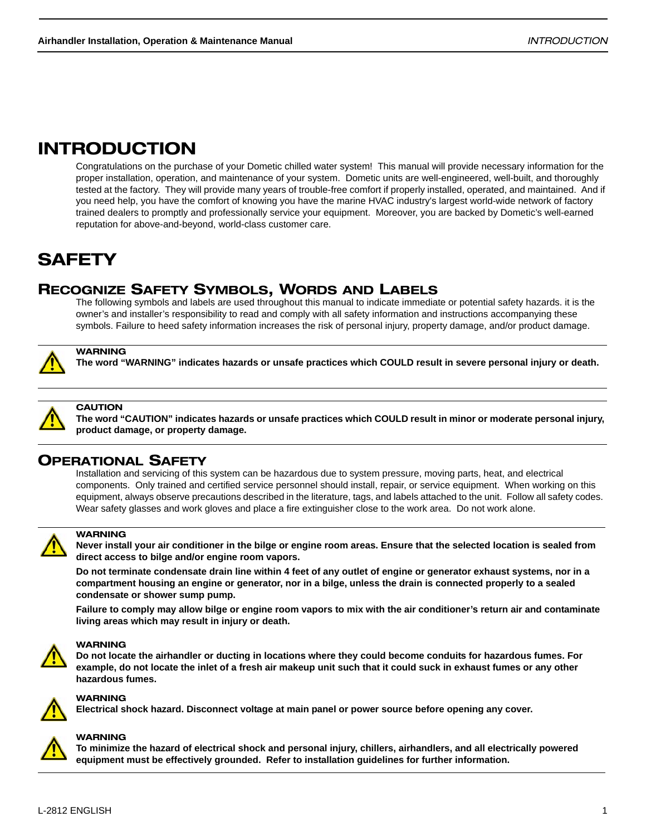# INTRODUCTION

Congratulations on the purchase of your Dometic chilled water system! This manual will provide necessary information for the proper installation, operation, and maintenance of your system. Dometic units are well-engineered, well-built, and thoroughly tested at the factory. They will provide many years of trouble-free comfort if properly installed, operated, and maintained. And if you need help, you have the comfort of knowing you have the marine HVAC industry's largest world-wide network of factory trained dealers to promptly and professionally service your equipment. Moreover, you are backed by Dometic's well-earned reputation for above-and-beyond, world-class customer care.

# SAFETY

# RECOGNIZE SAFETY SYMBOLS, WORDS AND LABELS

The following symbols and labels are used throughout this manual to indicate immediate or potential safety hazards. it is the owner's and installer's responsibility to read and comply with all safety information and instructions accompanying these symbols. Failure to heed safety information increases the risk of personal injury, property damage, and/or product damage.



**WARNING The word "WARNING" indicates hazards or unsafe practices which COULD result in severe personal injury or death.**



#### **CAUTION**

**The word "CAUTION" indicates hazards or unsafe practices which COULD result in minor or moderate personal injury, product damage, or property damage.**

# OPERATIONAL SAFETY

Installation and servicing of this system can be hazardous due to system pressure, moving parts, heat, and electrical components. Only trained and certified service personnel should install, repair, or service equipment. When working on this equipment, always observe precautions described in the literature, tags, and labels attached to the unit. Follow all safety codes. Wear safety glasses and work gloves and place a fire extinguisher close to the work area. Do not work alone.



#### WARNING

**Never install your air conditioner in the bilge or engine room areas. Ensure that the selected location is sealed from direct access to bilge and/or engine room vapors.** 

**Do not terminate condensate drain line within 4 feet of any outlet of engine or generator exhaust systems, nor in a compartment housing an engine or generator, nor in a bilge, unless the drain is connected properly to a sealed condensate or shower sump pump.** 

**Failure to comply may allow bilge or engine room vapors to mix with the air conditioner's return air and contaminate living areas which may result in injury or death.**



#### WARNING

**Do not locate the airhandler or ducting in locations where they could become conduits for hazardous fumes. For example, do not locate the inlet of a fresh air makeup unit such that it could suck in exhaust fumes or any other hazardous fumes.**



#### **WARNING**

**Electrical shock hazard. Disconnect voltage at main panel or power source before opening any cover.**



#### WARNING

**To minimize the hazard of electrical shock and personal injury, chillers, airhandlers, and all electrically powered equipment must be effectively grounded. Refer to installation guidelines for further information.**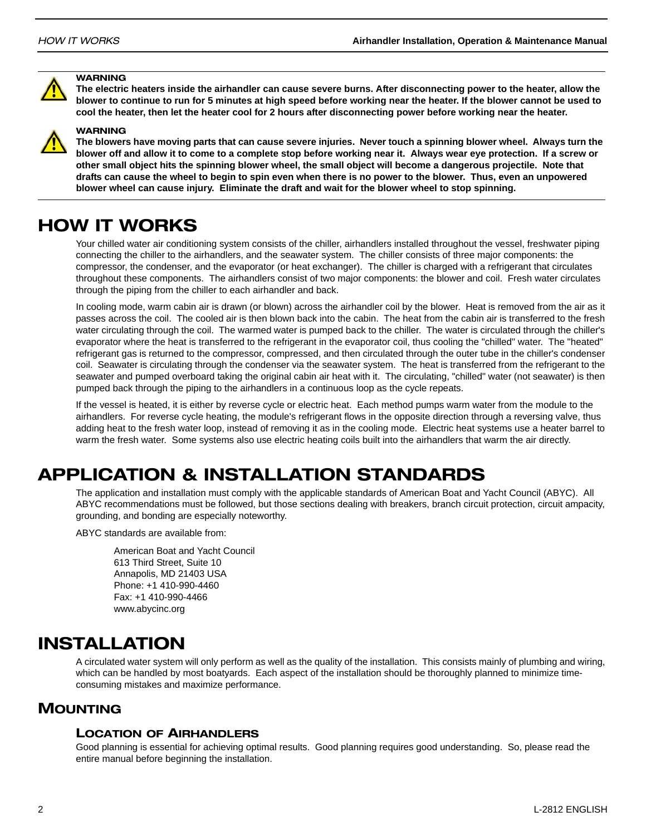

#### WARNING

**The electric heaters inside the airhandler can cause severe burns. After disconnecting power to the heater, allow the blower to continue to run for 5 minutes at high speed before working near the heater. If the blower cannot be used to cool the heater, then let the heater cool for 2 hours after disconnecting power before working near the heater.**



#### WARNING

**The blowers have moving parts that can cause severe injuries. Never touch a spinning blower wheel. Always turn the blower off and allow it to come to a complete stop before working near it. Always wear eye protection. If a screw or other small object hits the spinning blower wheel, the small object will become a dangerous projectile. Note that drafts can cause the wheel to begin to spin even when there is no power to the blower. Thus, even an unpowered blower wheel can cause injury. Eliminate the draft and wait for the blower wheel to stop spinning.**

# HOW IT WORKS

Your chilled water air conditioning system consists of the chiller, airhandlers installed throughout the vessel, freshwater piping connecting the chiller to the airhandlers, and the seawater system. The chiller consists of three major components: the compressor, the condenser, and the evaporator (or heat exchanger). The chiller is charged with a refrigerant that circulates throughout these components. The airhandlers consist of two major components: the blower and coil. Fresh water circulates through the piping from the chiller to each airhandler and back.

In cooling mode, warm cabin air is drawn (or blown) across the airhandler coil by the blower. Heat is removed from the air as it passes across the coil. The cooled air is then blown back into the cabin. The heat from the cabin air is transferred to the fresh water circulating through the coil. The warmed water is pumped back to the chiller. The water is circulated through the chiller's evaporator where the heat is transferred to the refrigerant in the evaporator coil, thus cooling the "chilled" water. The "heated" refrigerant gas is returned to the compressor, compressed, and then circulated through the outer tube in the chiller's condenser coil. Seawater is circulating through the condenser via the seawater system. The heat is transferred from the refrigerant to the seawater and pumped overboard taking the original cabin air heat with it. The circulating, "chilled" water (not seawater) is then pumped back through the piping to the airhandlers in a continuous loop as the cycle repeats.

If the vessel is heated, it is either by reverse cycle or electric heat. Each method pumps warm water from the module to the airhandlers. For reverse cycle heating, the module's refrigerant flows in the opposite direction through a reversing valve, thus adding heat to the fresh water loop, instead of removing it as in the cooling mode. Electric heat systems use a heater barrel to warm the fresh water. Some systems also use electric heating coils built into the airhandlers that warm the air directly.

# APPLICATION & INSTALLATION STANDARDS

The application and installation must comply with the applicable standards of American Boat and Yacht Council (ABYC). All ABYC recommendations must be followed, but those sections dealing with breakers, branch circuit protection, circuit ampacity, grounding, and bonding are especially noteworthy.

ABYC standards are available from:

American Boat and Yacht Council 613 Third Street, Suite 10 Annapolis, MD 21403 USA Phone: +1 410-990-4460 Fax: +1 410-990-4466 www.abycinc.org

# INSTALLATION

A circulated water system will only perform as well as the quality of the installation. This consists mainly of plumbing and wiring, which can be handled by most boatyards. Each aspect of the installation should be thoroughly planned to minimize timeconsuming mistakes and maximize performance.

## **MOUNTING**

#### LOCATION OF AIRHANDLERS

Good planning is essential for achieving optimal results. Good planning requires good understanding. So, please read the entire manual before beginning the installation.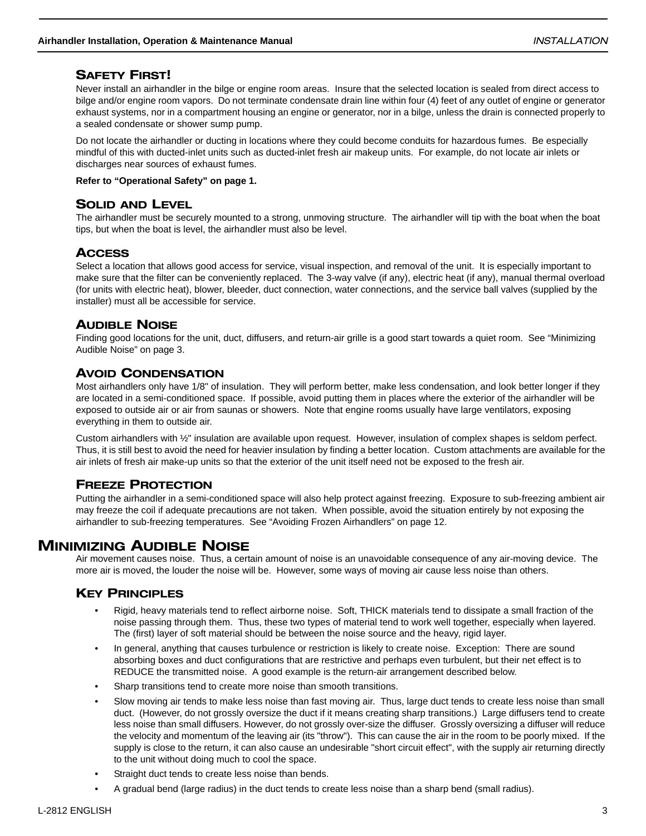#### SAFETY FIRST!

Never install an airhandler in the bilge or engine room areas. Insure that the selected location is sealed from direct access to bilge and/or engine room vapors. Do not terminate condensate drain line within four (4) feet of any outlet of engine or generator exhaust systems, nor in a compartment housing an engine or generator, nor in a bilge, unless the drain is connected properly to a sealed condensate or shower sump pump.

Do not locate the airhandler or ducting in locations where they could become conduits for hazardous fumes. Be especially mindful of this with ducted-inlet units such as ducted-inlet fresh air makeup units. For example, do not locate air inlets or discharges near sources of exhaust fumes.

**Refer to "Operational Safety" on page 1.**

#### SOLID AND LEVEL

The airhandler must be securely mounted to a strong, unmoving structure. The airhandler will tip with the boat when the boat tips, but when the boat is level, the airhandler must also be level.

#### **ACCESS**

Select a location that allows good access for service, visual inspection, and removal of the unit. It is especially important to make sure that the filter can be conveniently replaced. The 3-way valve (if any), electric heat (if any), manual thermal overload (for units with electric heat), blower, bleeder, duct connection, water connections, and the service ball valves (supplied by the installer) must all be accessible for service.

#### AUDIBLE NOISE

Finding good locations for the unit, duct, diffusers, and return-air grille is a good start towards a quiet room. See "Minimizing Audible Noise" on page 3.

### AVOID CONDENSATION

Most airhandlers only have 1/8" of insulation. They will perform better, make less condensation, and look better longer if they are located in a semi-conditioned space. If possible, avoid putting them in places where the exterior of the airhandler will be exposed to outside air or air from saunas or showers. Note that engine rooms usually have large ventilators, exposing everything in them to outside air.

Custom airhandlers with ½" insulation are available upon request. However, insulation of complex shapes is seldom perfect. Thus, it is still best to avoid the need for heavier insulation by finding a better location. Custom attachments are available for the air inlets of fresh air make-up units so that the exterior of the unit itself need not be exposed to the fresh air.

#### FREEZE PROTECTION

Putting the airhandler in a semi-conditioned space will also help protect against freezing. Exposure to sub-freezing ambient air may freeze the coil if adequate precautions are not taken. When possible, avoid the situation entirely by not exposing the airhandler to sub-freezing temperatures. See "Avoiding Frozen Airhandlers" on page 12.

#### MINIMIZING AUDIBLE NOISE

Air movement causes noise. Thus, a certain amount of noise is an unavoidable consequence of any air-moving device. The more air is moved, the louder the noise will be. However, some ways of moving air cause less noise than others.

#### KEY PRINCIPLES

- Rigid, heavy materials tend to reflect airborne noise. Soft, THICK materials tend to dissipate a small fraction of the noise passing through them. Thus, these two types of material tend to work well together, especially when layered. The (first) layer of soft material should be between the noise source and the heavy, rigid layer.
- In general, anything that causes turbulence or restriction is likely to create noise. Exception: There are sound absorbing boxes and duct configurations that are restrictive and perhaps even turbulent, but their net effect is to REDUCE the transmitted noise. A good example is the return-air arrangement described below.
- Sharp transitions tend to create more noise than smooth transitions.
- Slow moving air tends to make less noise than fast moving air. Thus, large duct tends to create less noise than small duct. (However, do not grossly oversize the duct if it means creating sharp transitions.) Large diffusers tend to create less noise than small diffusers. However, do not grossly over-size the diffuser. Grossly oversizing a diffuser will reduce the velocity and momentum of the leaving air (its "throw"). This can cause the air in the room to be poorly mixed. If the supply is close to the return, it can also cause an undesirable "short circuit effect", with the supply air returning directly to the unit without doing much to cool the space.
- Straight duct tends to create less noise than bends.
- A gradual bend (large radius) in the duct tends to create less noise than a sharp bend (small radius).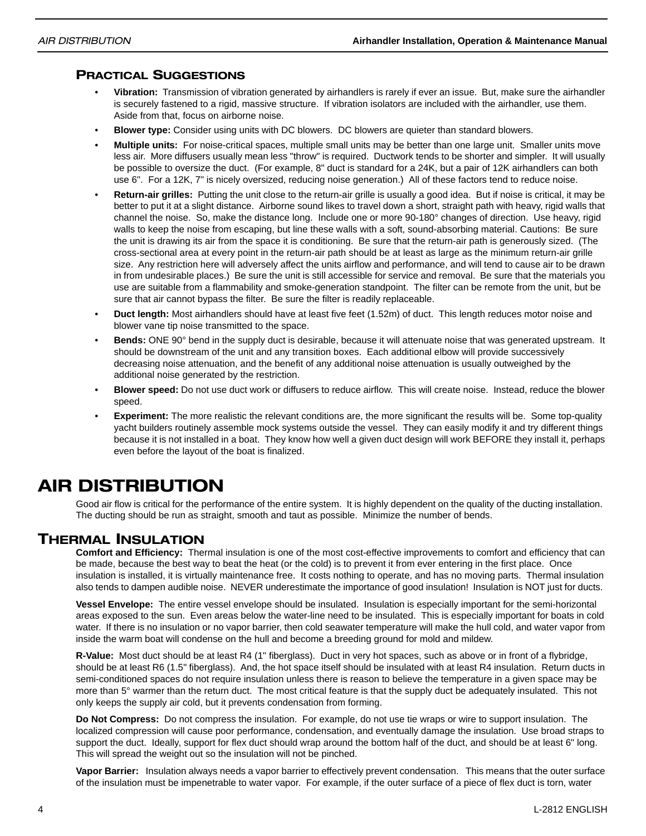#### PRACTICAL SUGGESTIONS

- **Vibration:** Transmission of vibration generated by airhandlers is rarely if ever an issue. But, make sure the airhandler is securely fastened to a rigid, massive structure. If vibration isolators are included with the airhandler, use them. Aside from that, focus on airborne noise.
- **Blower type:** Consider using units with DC blowers. DC blowers are quieter than standard blowers.
- **Multiple units:** For noise-critical spaces, multiple small units may be better than one large unit. Smaller units move less air. More diffusers usually mean less "throw" is required. Ductwork tends to be shorter and simpler. It will usually be possible to oversize the duct. (For example, 8" duct is standard for a 24K, but a pair of 12K airhandlers can both use 6". For a 12K, 7" is nicely oversized, reducing noise generation.) All of these factors tend to reduce noise.
- **Return-air grilles:** Putting the unit close to the return-air grille is usually a good idea. But if noise is critical, it may be better to put it at a slight distance. Airborne sound likes to travel down a short, straight path with heavy, rigid walls that channel the noise. So, make the distance long. Include one or more 90-180° changes of direction. Use heavy, rigid walls to keep the noise from escaping, but line these walls with a soft, sound-absorbing material. Cautions: Be sure the unit is drawing its air from the space it is conditioning. Be sure that the return-air path is generously sized. (The cross-sectional area at every point in the return-air path should be at least as large as the minimum return-air grille size. Any restriction here will adversely affect the units airflow and performance, and will tend to cause air to be drawn in from undesirable places.) Be sure the unit is still accessible for service and removal. Be sure that the materials you use are suitable from a flammability and smoke-generation standpoint. The filter can be remote from the unit, but be sure that air cannot bypass the filter. Be sure the filter is readily replaceable.
- **Duct length:** Most airhandlers should have at least five feet (1.52m) of duct. This length reduces motor noise and blower vane tip noise transmitted to the space.
- **Bends:** ONE 90° bend in the supply duct is desirable, because it will attenuate noise that was generated upstream. It should be downstream of the unit and any transition boxes. Each additional elbow will provide successively decreasing noise attenuation, and the benefit of any additional noise attenuation is usually outweighed by the additional noise generated by the restriction.
- **Blower speed:** Do not use duct work or diffusers to reduce airflow. This will create noise. Instead, reduce the blower speed.
- **Experiment:** The more realistic the relevant conditions are, the more significant the results will be. Some top-quality yacht builders routinely assemble mock systems outside the vessel. They can easily modify it and try different things because it is not installed in a boat. They know how well a given duct design will work BEFORE they install it, perhaps even before the layout of the boat is finalized.

# AIR DISTRIBUTION

Good air flow is critical for the performance of the entire system. It is highly dependent on the quality of the ducting installation. The ducting should be run as straight, smooth and taut as possible. Minimize the number of bends.

## THERMAL INSULATION

**Comfort and Efficiency:** Thermal insulation is one of the most cost-effective improvements to comfort and efficiency that can be made, because the best way to beat the heat (or the cold) is to prevent it from ever entering in the first place. Once insulation is installed, it is virtually maintenance free. It costs nothing to operate, and has no moving parts. Thermal insulation also tends to dampen audible noise. NEVER underestimate the importance of good insulation! Insulation is NOT just for ducts.

**Vessel Envelope:** The entire vessel envelope should be insulated. Insulation is especially important for the semi-horizontal areas exposed to the sun. Even areas below the water-line need to be insulated. This is especially important for boats in cold water. If there is no insulation or no vapor barrier, then cold seawater temperature will make the hull cold, and water vapor from inside the warm boat will condense on the hull and become a breeding ground for mold and mildew.

**R-Value:** Most duct should be at least R4 (1" fiberglass). Duct in very hot spaces, such as above or in front of a flybridge, should be at least R6 (1.5" fiberglass). And, the hot space itself should be insulated with at least R4 insulation. Return ducts in semi-conditioned spaces do not require insulation unless there is reason to believe the temperature in a given space may be more than 5° warmer than the return duct. The most critical feature is that the supply duct be adequately insulated. This not only keeps the supply air cold, but it prevents condensation from forming.

**Do Not Compress:** Do not compress the insulation. For example, do not use tie wraps or wire to support insulation. The localized compression will cause poor performance, condensation, and eventually damage the insulation. Use broad straps to support the duct. Ideally, support for flex duct should wrap around the bottom half of the duct, and should be at least 6" long. This will spread the weight out so the insulation will not be pinched.

**Vapor Barrier:** Insulation always needs a vapor barrier to effectively prevent condensation. This means that the outer surface of the insulation must be impenetrable to water vapor. For example, if the outer surface of a piece of flex duct is torn, water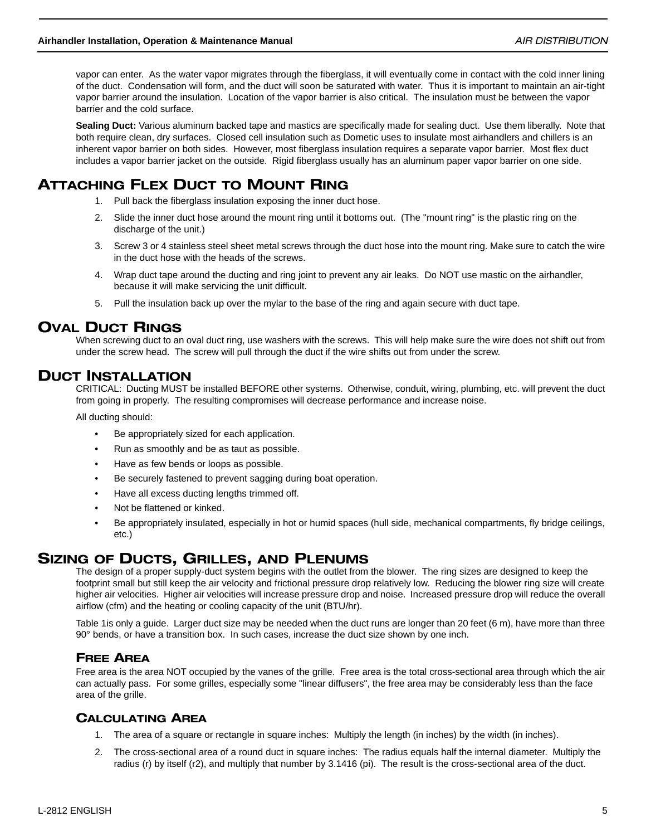vapor can enter. As the water vapor migrates through the fiberglass, it will eventually come in contact with the cold inner lining of the duct. Condensation will form, and the duct will soon be saturated with water. Thus it is important to maintain an air-tight vapor barrier around the insulation. Location of the vapor barrier is also critical. The insulation must be between the vapor barrier and the cold surface.

**Sealing Duct:** Various aluminum backed tape and mastics are specifically made for sealing duct. Use them liberally. Note that both require clean, dry surfaces. Closed cell insulation such as Dometic uses to insulate most airhandlers and chillers is an inherent vapor barrier on both sides. However, most fiberglass insulation requires a separate vapor barrier. Most flex duct includes a vapor barrier jacket on the outside. Rigid fiberglass usually has an aluminum paper vapor barrier on one side.

# ATTACHING FLEX DUCT TO MOUNT RING

- 1. Pull back the fiberglass insulation exposing the inner duct hose.
- 2. Slide the inner duct hose around the mount ring until it bottoms out. (The "mount ring" is the plastic ring on the discharge of the unit.)
- 3. Screw 3 or 4 stainless steel sheet metal screws through the duct hose into the mount ring. Make sure to catch the wire in the duct hose with the heads of the screws.
- 4. Wrap duct tape around the ducting and ring joint to prevent any air leaks. Do NOT use mastic on the airhandler, because it will make servicing the unit difficult.
- 5. Pull the insulation back up over the mylar to the base of the ring and again secure with duct tape.

# OVAL DUCT RINGS

When screwing duct to an oval duct ring, use washers with the screws. This will help make sure the wire does not shift out from under the screw head. The screw will pull through the duct if the wire shifts out from under the screw.

# DUCT INSTALLATION

CRITICAL: Ducting MUST be installed BEFORE other systems. Otherwise, conduit, wiring, plumbing, etc. will prevent the duct from going in properly. The resulting compromises will decrease performance and increase noise.

All ducting should:

- Be appropriately sized for each application.
- Run as smoothly and be as taut as possible.
- Have as few bends or loops as possible.
- Be securely fastened to prevent sagging during boat operation.
- Have all excess ducting lengths trimmed off.
- Not be flattened or kinked.
- Be appropriately insulated, especially in hot or humid spaces (hull side, mechanical compartments, fly bridge ceilings, etc.)

## SIZING OF DUCTS, GRILLES, AND PLENUMS

The design of a proper supply-duct system begins with the outlet from the blower. The ring sizes are designed to keep the footprint small but still keep the air velocity and frictional pressure drop relatively low. Reducing the blower ring size will create higher air velocities. Higher air velocities will increase pressure drop and noise. Increased pressure drop will reduce the overall airflow (cfm) and the heating or cooling capacity of the unit (BTU/hr).

Table 1is only a guide. Larger duct size may be needed when the duct runs are longer than 20 feet (6 m), have more than three 90° bends, or have a transition box. In such cases, increase the duct size shown by one inch.

#### FREE AREA

Free area is the area NOT occupied by the vanes of the grille. Free area is the total cross-sectional area through which the air can actually pass. For some grilles, especially some "linear diffusers", the free area may be considerably less than the face area of the grille.

#### CALCULATING AREA

- 1. The area of a square or rectangle in square inches: Multiply the length (in inches) by the width (in inches).
- 2. The cross-sectional area of a round duct in square inches: The radius equals half the internal diameter. Multiply the radius (r) by itself (r2), and multiply that number by 3.1416 (pi). The result is the cross-sectional area of the duct.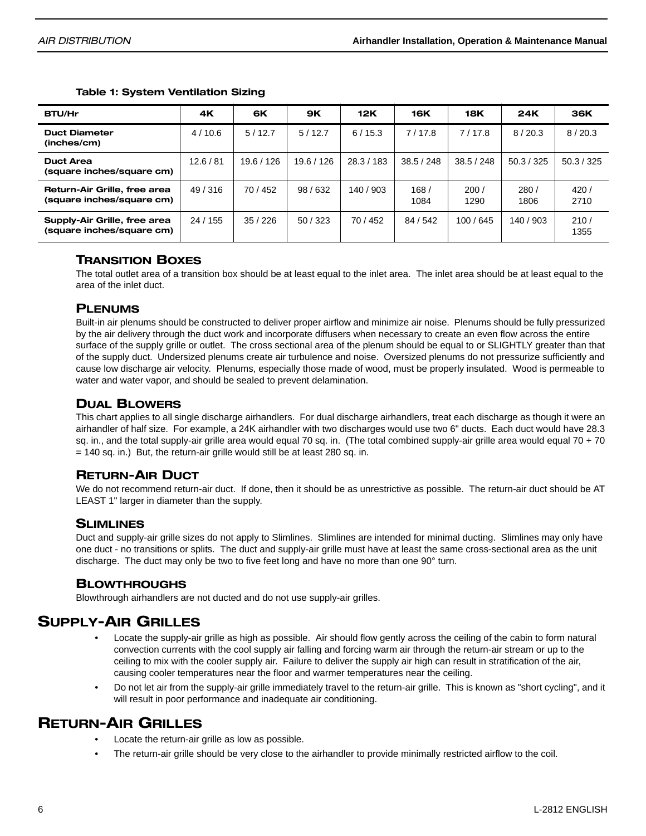| <b>BTU/Hr</b>                                             | 4K        | 6K         | <b>9K</b>  | 12K        | <b>16K</b>   | <b>18K</b>   | <b>24K</b>   | 36K          |
|-----------------------------------------------------------|-----------|------------|------------|------------|--------------|--------------|--------------|--------------|
| <b>Duct Diameter</b><br>(inches/cm)                       | 4/10.6    | 5/12.7     | 5/12.7     | 6/15.3     | 7/17.8       | 7/17.8       | 8/20.3       | 8/20.3       |
| <b>Duct Area</b><br>(square inches/square cm)             | 12.6 / 81 | 19.6 / 126 | 19.6 / 126 | 28.3 / 183 | 38.5 / 248   | 38.5 / 248   | 50.3 / 325   | 50.3 / 325   |
| Return-Air Grille, free area<br>(square inches/square cm) | 49/316    | 70/452     | 98/632     | 140/903    | 168/<br>1084 | 200/<br>1290 | 280/<br>1806 | 420/<br>2710 |
| Supply-Air Grille, free area<br>(square inches/square cm) | 24/155    | 35/226     | 50/323     | 70/452     | 84/542       | 100/645      | 140/903      | 210/<br>1355 |

#### Table 1: System Ventilation Sizing

### TRANSITION BOXES

The total outlet area of a transition box should be at least equal to the inlet area. The inlet area should be at least equal to the area of the inlet duct.

#### PLENUMS

Built-in air plenums should be constructed to deliver proper airflow and minimize air noise. Plenums should be fully pressurized by the air delivery through the duct work and incorporate diffusers when necessary to create an even flow across the entire surface of the supply grille or outlet. The cross sectional area of the plenum should be equal to or SLIGHTLY greater than that of the supply duct. Undersized plenums create air turbulence and noise. Oversized plenums do not pressurize sufficiently and cause low discharge air velocity. Plenums, especially those made of wood, must be properly insulated. Wood is permeable to water and water vapor, and should be sealed to prevent delamination.

### DUAL BLOWERS

This chart applies to all single discharge airhandlers. For dual discharge airhandlers, treat each discharge as though it were an airhandler of half size. For example, a 24K airhandler with two discharges would use two 6" ducts. Each duct would have 28.3 sq. in., and the total supply-air grille area would equal 70 sq. in. (The total combined supply-air grille area would equal 70 + 70 = 140 sq. in.) But, the return-air grille would still be at least 280 sq. in.

#### RETURN-AIR DUCT

We do not recommend return-air duct. If done, then it should be as unrestrictive as possible. The return-air duct should be AT LEAST 1" larger in diameter than the supply.

#### **SLIMLINES**

Duct and supply-air grille sizes do not apply to Slimlines. Slimlines are intended for minimal ducting. Slimlines may only have one duct - no transitions or splits. The duct and supply-air grille must have at least the same cross-sectional area as the unit discharge. The duct may only be two to five feet long and have no more than one 90° turn.

#### **BLOWTHROUGHS**

Blowthrough airhandlers are not ducted and do not use supply-air grilles.

# SUPPLY-AIR GRILLES

- Locate the supply-air grille as high as possible. Air should flow gently across the ceiling of the cabin to form natural convection currents with the cool supply air falling and forcing warm air through the return-air stream or up to the ceiling to mix with the cooler supply air. Failure to deliver the supply air high can result in stratification of the air, causing cooler temperatures near the floor and warmer temperatures near the ceiling.
- Do not let air from the supply-air grille immediately travel to the return-air grille. This is known as "short cycling", and it will result in poor performance and inadequate air conditioning.

## RETURN-AIR GRILLES

- Locate the return-air grille as low as possible.
- The return-air grille should be very close to the airhandler to provide minimally restricted airflow to the coil.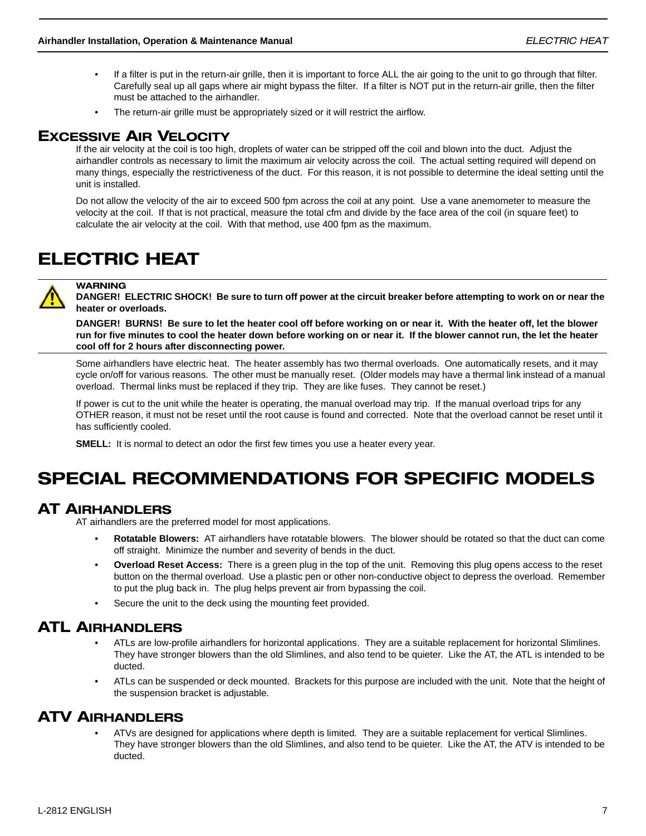- If a filter is put in the return-air grille, then it is important to force ALL the air going to the unit to go through that filter. Carefully seal up all gaps where air might bypass the filter. If a filter is NOT put in the return-air grille, then the filter must be attached to the airhandler.
- The return-air grille must be appropriately sized or it will restrict the airflow.

# EXCESSIVE AIR VELOCITY

If the air velocity at the coil is too high, droplets of water can be stripped off the coil and blown into the duct. Adjust the airhandler controls as necessary to limit the maximum air velocity across the coil. The actual setting required will depend on many things, especially the restrictiveness of the duct. For this reason, it is not possible to determine the ideal setting until the unit is installed.

Do not allow the velocity of the air to exceed 500 fpm across the coil at any point. Use a vane anemometer to measure the velocity at the coil. If that is not practical, measure the total cfm and divide by the face area of the coil (in square feet) to calculate the air velocity at the coil. With that method, use 400 fpm as the maximum.

# ELECTRIC HEAT



**WARNING** 

**DANGER! ELECTRIC SHOCK! Be sure to turn off power at the circuit breaker before attempting to work on or near the heater or overloads.** 

**DANGER! BURNS! Be sure to let the heater cool off before working on or near it. With the heater off, let the blower run for five minutes to cool the heater down before working on or near it. If the blower cannot run, the let the heater cool off for 2 hours after disconnecting power.**

Some airhandlers have electric heat. The heater assembly has two thermal overloads. One automatically resets, and it may cycle on/off for various reasons. The other must be manually reset. (Older models may have a thermal link instead of a manual overload. Thermal links must be replaced if they trip. They are like fuses. They cannot be reset.)

If power is cut to the unit while the heater is operating, the manual overload may trip. If the manual overload trips for any OTHER reason, it must not be reset until the root cause is found and corrected. Note that the overload cannot be reset until it has sufficiently cooled.

**SMELL:** It is normal to detect an odor the first few times you use a heater every year.

# SPECIAL RECOMMENDATIONS FOR SPECIFIC MODELS

#### AT AIRHANDLERS

AT airhandlers are the preferred model for most applications.

- **Rotatable Blowers:** AT airhandlers have rotatable blowers. The blower should be rotated so that the duct can come off straight. Minimize the number and severity of bends in the duct.
- **Overload Reset Access:** There is a green plug in the top of the unit. Removing this plug opens access to the reset button on the thermal overload. Use a plastic pen or other non-conductive object to depress the overload. Remember to put the plug back in. The plug helps prevent air from bypassing the coil.
- Secure the unit to the deck using the mounting feet provided.

# ATL AIRHANDLERS

- ATLs are low-profile airhandlers for horizontal applications. They are a suitable replacement for horizontal Slimlines. They have stronger blowers than the old Slimlines, and also tend to be quieter. Like the AT, the ATL is intended to be ducted.
- ATLs can be suspended or deck mounted. Brackets for this purpose are included with the unit. Note that the height of the suspension bracket is adjustable.

# ATV AIRHANDLERS

• ATVs are designed for applications where depth is limited. They are a suitable replacement for vertical Slimlines. They have stronger blowers than the old Slimlines, and also tend to be quieter. Like the AT, the ATV is intended to be ducted.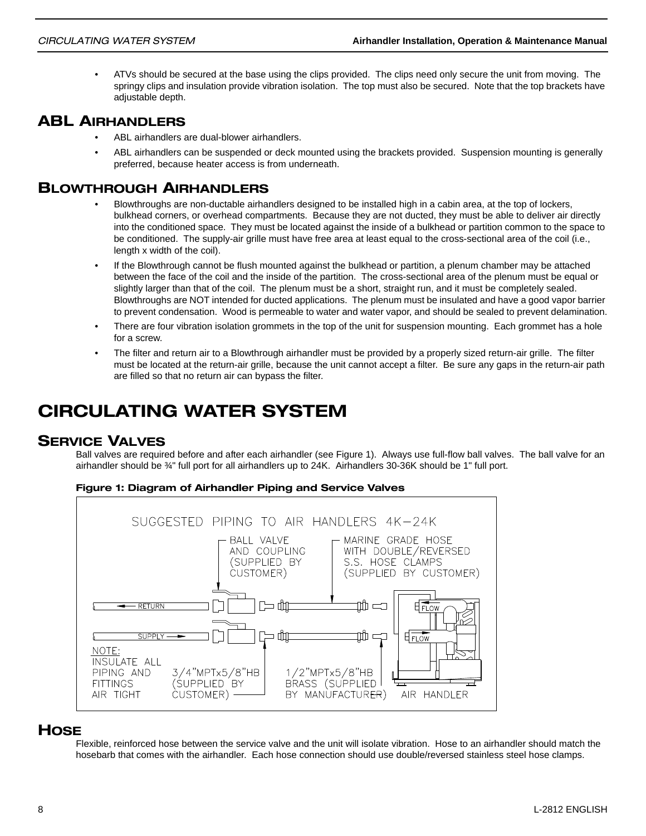• ATVs should be secured at the base using the clips provided. The clips need only secure the unit from moving. The springy clips and insulation provide vibration isolation. The top must also be secured. Note that the top brackets have adjustable depth.

# ABL AIRHANDLERS

- ABL airhandlers are dual-blower airhandlers.
- ABL airhandlers can be suspended or deck mounted using the brackets provided. Suspension mounting is generally preferred, because heater access is from underneath.

# BLOWTHROUGH AIRHANDLERS

- Blowthroughs are non-ductable airhandlers designed to be installed high in a cabin area, at the top of lockers, bulkhead corners, or overhead compartments. Because they are not ducted, they must be able to deliver air directly into the conditioned space. They must be located against the inside of a bulkhead or partition common to the space to be conditioned. The supply-air grille must have free area at least equal to the cross-sectional area of the coil (i.e., length x width of the coil).
- If the Blowthrough cannot be flush mounted against the bulkhead or partition, a plenum chamber may be attached between the face of the coil and the inside of the partition. The cross-sectional area of the plenum must be equal or slightly larger than that of the coil. The plenum must be a short, straight run, and it must be completely sealed. Blowthroughs are NOT intended for ducted applications. The plenum must be insulated and have a good vapor barrier to prevent condensation. Wood is permeable to water and water vapor, and should be sealed to prevent delamination.
- There are four vibration isolation grommets in the top of the unit for suspension mounting. Each grommet has a hole for a screw.
- The filter and return air to a Blowthrough airhandler must be provided by a properly sized return-air grille. The filter must be located at the return-air grille, because the unit cannot accept a filter. Be sure any gaps in the return-air path are filled so that no return air can bypass the filter.

# CIRCULATING WATER SYSTEM

#### SERVICE VALVES

Ball valves are required before and after each airhandler (see Figure 1). Always use full-flow ball valves. The ball valve for an airhandler should be ¾" full port for all airhandlers up to 24K. Airhandlers 30-36K should be 1" full port.

#### Figure 1: Diagram of Airhandler Piping and Service Valves



#### **HOSE**

Flexible, reinforced hose between the service valve and the unit will isolate vibration. Hose to an airhandler should match the hosebarb that comes with the airhandler. Each hose connection should use double/reversed stainless steel hose clamps.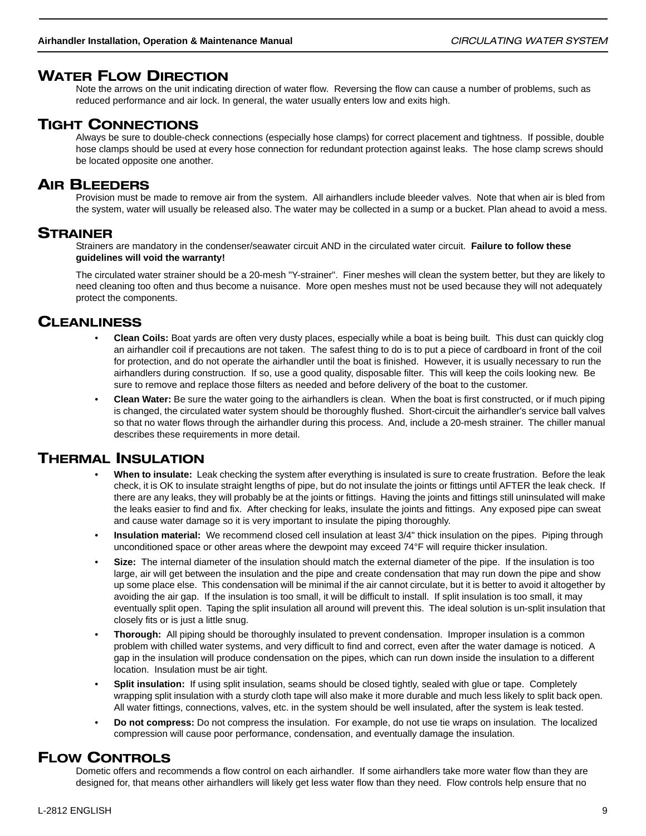#### WATER FLOW DIRECTION

Note the arrows on the unit indicating direction of water flow. Reversing the flow can cause a number of problems, such as reduced performance and air lock. In general, the water usually enters low and exits high.

### TIGHT CONNECTIONS

Always be sure to double-check connections (especially hose clamps) for correct placement and tightness. If possible, double hose clamps should be used at every hose connection for redundant protection against leaks. The hose clamp screws should be located opposite one another.

### AIR BLEEDERS

Provision must be made to remove air from the system. All airhandlers include bleeder valves. Note that when air is bled from the system, water will usually be released also. The water may be collected in a sump or a bucket. Plan ahead to avoid a mess.

#### STRAINER

Strainers are mandatory in the condenser/seawater circuit AND in the circulated water circuit. **Failure to follow these guidelines will void the warranty!** 

The circulated water strainer should be a 20-mesh "Y-strainer". Finer meshes will clean the system better, but they are likely to need cleaning too often and thus become a nuisance. More open meshes must not be used because they will not adequately protect the components.

#### CLEANLINESS

- **Clean Coils:** Boat yards are often very dusty places, especially while a boat is being built. This dust can quickly clog an airhandler coil if precautions are not taken. The safest thing to do is to put a piece of cardboard in front of the coil for protection, and do not operate the airhandler until the boat is finished. However, it is usually necessary to run the airhandlers during construction. If so, use a good quality, disposable filter. This will keep the coils looking new. Be sure to remove and replace those filters as needed and before delivery of the boat to the customer.
- **Clean Water:** Be sure the water going to the airhandlers is clean. When the boat is first constructed, or if much piping is changed, the circulated water system should be thoroughly flushed. Short-circuit the airhandler's service ball valves so that no water flows through the airhandler during this process. And, include a 20-mesh strainer. The chiller manual describes these requirements in more detail.

## THERMAL INSULATION

- **When to insulate:** Leak checking the system after everything is insulated is sure to create frustration. Before the leak check, it is OK to insulate straight lengths of pipe, but do not insulate the joints or fittings until AFTER the leak check. If there are any leaks, they will probably be at the joints or fittings. Having the joints and fittings still uninsulated will make the leaks easier to find and fix. After checking for leaks, insulate the joints and fittings. Any exposed pipe can sweat and cause water damage so it is very important to insulate the piping thoroughly.
- **Insulation material:** We recommend closed cell insulation at least 3/4" thick insulation on the pipes. Piping through unconditioned space or other areas where the dewpoint may exceed 74°F will require thicker insulation.
- **Size:** The internal diameter of the insulation should match the external diameter of the pipe. If the insulation is too large, air will get between the insulation and the pipe and create condensation that may run down the pipe and show up some place else. This condensation will be minimal if the air cannot circulate, but it is better to avoid it altogether by avoiding the air gap. If the insulation is too small, it will be difficult to install. If split insulation is too small, it may eventually split open. Taping the split insulation all around will prevent this. The ideal solution is un-split insulation that closely fits or is just a little snug.
- **Thorough:** All piping should be thoroughly insulated to prevent condensation. Improper insulation is a common problem with chilled water systems, and very difficult to find and correct, even after the water damage is noticed. A gap in the insulation will produce condensation on the pipes, which can run down inside the insulation to a different location. Insulation must be air tight.
- **Split insulation:** If using split insulation, seams should be closed tightly, sealed with glue or tape. Completely wrapping split insulation with a sturdy cloth tape will also make it more durable and much less likely to split back open. All water fittings, connections, valves, etc. in the system should be well insulated, after the system is leak tested.
- **Do not compress:** Do not compress the insulation. For example, do not use tie wraps on insulation. The localized compression will cause poor performance, condensation, and eventually damage the insulation.

# FLOW CONTROLS

Dometic offers and recommends a flow control on each airhandler. If some airhandlers take more water flow than they are designed for, that means other airhandlers will likely get less water flow than they need. Flow controls help ensure that no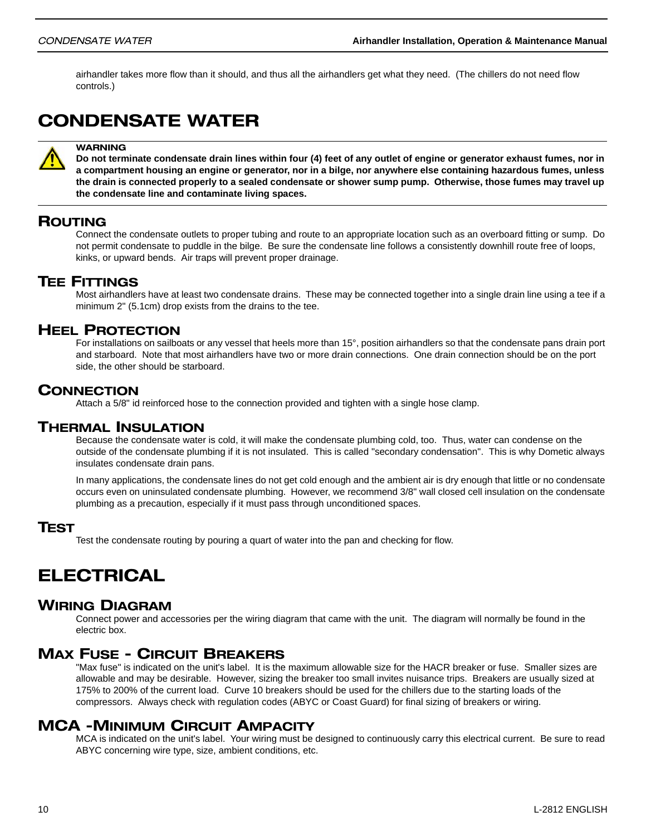airhandler takes more flow than it should, and thus all the airhandlers get what they need. (The chillers do not need flow controls.)

# CONDENSATE WATER

#### **WARNING**

**Do not terminate condensate drain lines within four (4) feet of any outlet of engine or generator exhaust fumes, nor in a compartment housing an engine or generator, nor in a bilge, nor anywhere else containing hazardous fumes, unless the drain is connected properly to a sealed condensate or shower sump pump. Otherwise, those fumes may travel up the condensate line and contaminate living spaces.**

### ROUTING

Connect the condensate outlets to proper tubing and route to an appropriate location such as an overboard fitting or sump. Do not permit condensate to puddle in the bilge. Be sure the condensate line follows a consistently downhill route free of loops, kinks, or upward bends. Air traps will prevent proper drainage.

### TEE FITTINGS

Most airhandlers have at least two condensate drains. These may be connected together into a single drain line using a tee if a minimum 2" (5.1cm) drop exists from the drains to the tee.

### HEEL PROTECTION

For installations on sailboats or any vessel that heels more than 15°, position airhandlers so that the condensate pans drain port and starboard. Note that most airhandlers have two or more drain connections. One drain connection should be on the port side, the other should be starboard.

#### **CONNECTION**

Attach a 5/8" id reinforced hose to the connection provided and tighten with a single hose clamp.

#### THERMAL INSULATION

Because the condensate water is cold, it will make the condensate plumbing cold, too. Thus, water can condense on the outside of the condensate plumbing if it is not insulated. This is called "secondary condensation". This is why Dometic always insulates condensate drain pans.

In many applications, the condensate lines do not get cold enough and the ambient air is dry enough that little or no condensate occurs even on uninsulated condensate plumbing. However, we recommend 3/8" wall closed cell insulation on the condensate plumbing as a precaution, especially if it must pass through unconditioned spaces.

#### TEST

Test the condensate routing by pouring a quart of water into the pan and checking for flow.

# ELECTRICAL

## WIRING DIAGRAM

Connect power and accessories per the wiring diagram that came with the unit. The diagram will normally be found in the electric box.

# MAX FUSE - CIRCUIT BREAKERS

"Max fuse" is indicated on the unit's label. It is the maximum allowable size for the HACR breaker or fuse. Smaller sizes are allowable and may be desirable. However, sizing the breaker too small invites nuisance trips. Breakers are usually sized at 175% to 200% of the current load. Curve 10 breakers should be used for the chillers due to the starting loads of the compressors. Always check with regulation codes (ABYC or Coast Guard) for final sizing of breakers or wiring.

## MCA -MINIMUM CIRCUIT AMPACITY

MCA is indicated on the unit's label. Your wiring must be designed to continuously carry this electrical current. Be sure to read ABYC concerning wire type, size, ambient conditions, etc.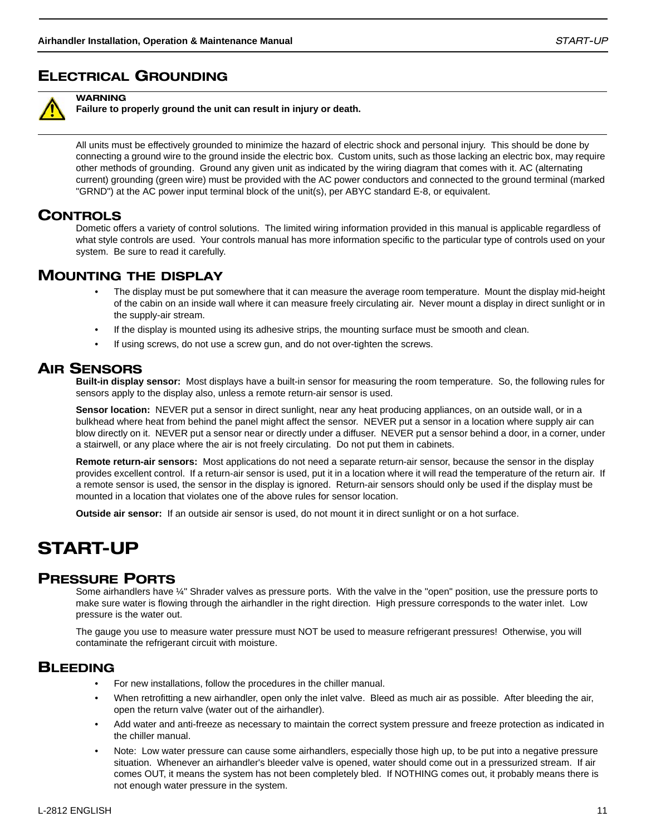## ELECTRICAL GROUNDING



#### WARNING

**Failure to properly ground the unit can result in injury or death.**

All units must be effectively grounded to minimize the hazard of electric shock and personal injury. This should be done by connecting a ground wire to the ground inside the electric box. Custom units, such as those lacking an electric box, may require other methods of grounding. Ground any given unit as indicated by the wiring diagram that comes with it. AC (alternating current) grounding (green wire) must be provided with the AC power conductors and connected to the ground terminal (marked "GRND") at the AC power input terminal block of the unit(s), per ABYC standard E-8, or equivalent.

#### CONTROLS

Dometic offers a variety of control solutions. The limited wiring information provided in this manual is applicable regardless of what style controls are used. Your controls manual has more information specific to the particular type of controls used on your system. Be sure to read it carefully.

#### MOUNTING THE DISPLAY

- The display must be put somewhere that it can measure the average room temperature. Mount the display mid-height of the cabin on an inside wall where it can measure freely circulating air. Never mount a display in direct sunlight or in the supply-air stream.
- If the display is mounted using its adhesive strips, the mounting surface must be smooth and clean.
- If using screws, do not use a screw gun, and do not over-tighten the screws.

#### AIR SENSORS

**Built-in display sensor:** Most displays have a built-in sensor for measuring the room temperature. So, the following rules for sensors apply to the display also, unless a remote return-air sensor is used.

**Sensor location:** NEVER put a sensor in direct sunlight, near any heat producing appliances, on an outside wall, or in a bulkhead where heat from behind the panel might affect the sensor. NEVER put a sensor in a location where supply air can blow directly on it. NEVER put a sensor near or directly under a diffuser. NEVER put a sensor behind a door, in a corner, under a stairwell, or any place where the air is not freely circulating. Do not put them in cabinets.

**Remote return-air sensors:** Most applications do not need a separate return-air sensor, because the sensor in the display provides excellent control. If a return-air sensor is used, put it in a location where it will read the temperature of the return air. If a remote sensor is used, the sensor in the display is ignored. Return-air sensors should only be used if the display must be mounted in a location that violates one of the above rules for sensor location.

**Outside air sensor:** If an outside air sensor is used, do not mount it in direct sunlight or on a hot surface.

# START-UP

#### PRESSURE PORTS

Some airhandlers have  $\frac{1}{4}$ " Shrader valves as pressure ports. With the valve in the "open" position, use the pressure ports to make sure water is flowing through the airhandler in the right direction. High pressure corresponds to the water inlet. Low pressure is the water out.

The gauge you use to measure water pressure must NOT be used to measure refrigerant pressures! Otherwise, you will contaminate the refrigerant circuit with moisture.

#### **BLEEDING**

- For new installations, follow the procedures in the chiller manual.
- When retrofitting a new airhandler, open only the inlet valve. Bleed as much air as possible. After bleeding the air, open the return valve (water out of the airhandler).
- Add water and anti-freeze as necessary to maintain the correct system pressure and freeze protection as indicated in the chiller manual.
- Note: Low water pressure can cause some airhandlers, especially those high up, to be put into a negative pressure situation. Whenever an airhandler's bleeder valve is opened, water should come out in a pressurized stream. If air comes OUT, it means the system has not been completely bled. If NOTHING comes out, it probably means there is not enough water pressure in the system.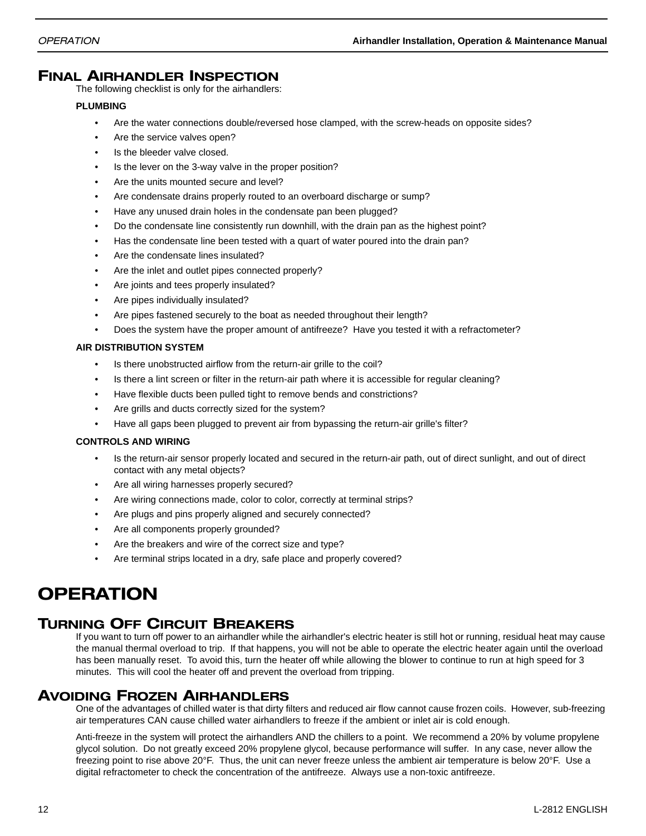# FINAL AIRHANDLER INSPECTION

The following checklist is only for the airhandlers:

#### **PLUMBING**

- Are the water connections double/reversed hose clamped, with the screw-heads on opposite sides?
- Are the service valves open?
- Is the bleeder valve closed.
- Is the lever on the 3-way valve in the proper position?
- Are the units mounted secure and level?
- Are condensate drains properly routed to an overboard discharge or sump?
- Have any unused drain holes in the condensate pan been plugged?
- Do the condensate line consistently run downhill, with the drain pan as the highest point?
- Has the condensate line been tested with a quart of water poured into the drain pan?
- Are the condensate lines insulated?
- Are the inlet and outlet pipes connected properly?
- Are joints and tees properly insulated?
- Are pipes individually insulated?
- Are pipes fastened securely to the boat as needed throughout their length?
- Does the system have the proper amount of antifreeze? Have you tested it with a refractometer?

#### **AIR DISTRIBUTION SYSTEM**

- Is there unobstructed airflow from the return-air grille to the coil?
- Is there a lint screen or filter in the return-air path where it is accessible for regular cleaning?
- Have flexible ducts been pulled tight to remove bends and constrictions?
- Are grills and ducts correctly sized for the system?
- Have all gaps been plugged to prevent air from bypassing the return-air grille's filter?

#### **CONTROLS AND WIRING**

- Is the return-air sensor properly located and secured in the return-air path, out of direct sunlight, and out of direct contact with any metal objects?
- Are all wiring harnesses properly secured?
- Are wiring connections made, color to color, correctly at terminal strips?
- Are plugs and pins properly aligned and securely connected?
- Are all components properly grounded?
- Are the breakers and wire of the correct size and type?
- Are terminal strips located in a dry, safe place and properly covered?

# OPERATION

# TURNING OFF CIRCUIT BREAKERS

If you want to turn off power to an airhandler while the airhandler's electric heater is still hot or running, residual heat may cause the manual thermal overload to trip. If that happens, you will not be able to operate the electric heater again until the overload has been manually reset. To avoid this, turn the heater off while allowing the blower to continue to run at high speed for 3 minutes. This will cool the heater off and prevent the overload from tripping.

# AVOIDING FROZEN AIRHANDLERS

One of the advantages of chilled water is that dirty filters and reduced air flow cannot cause frozen coils. However, sub-freezing air temperatures CAN cause chilled water airhandlers to freeze if the ambient or inlet air is cold enough.

Anti-freeze in the system will protect the airhandlers AND the chillers to a point. We recommend a 20% by volume propylene glycol solution. Do not greatly exceed 20% propylene glycol, because performance will suffer. In any case, never allow the freezing point to rise above 20°F. Thus, the unit can never freeze unless the ambient air temperature is below 20°F. Use a digital refractometer to check the concentration of the antifreeze. Always use a non-toxic antifreeze.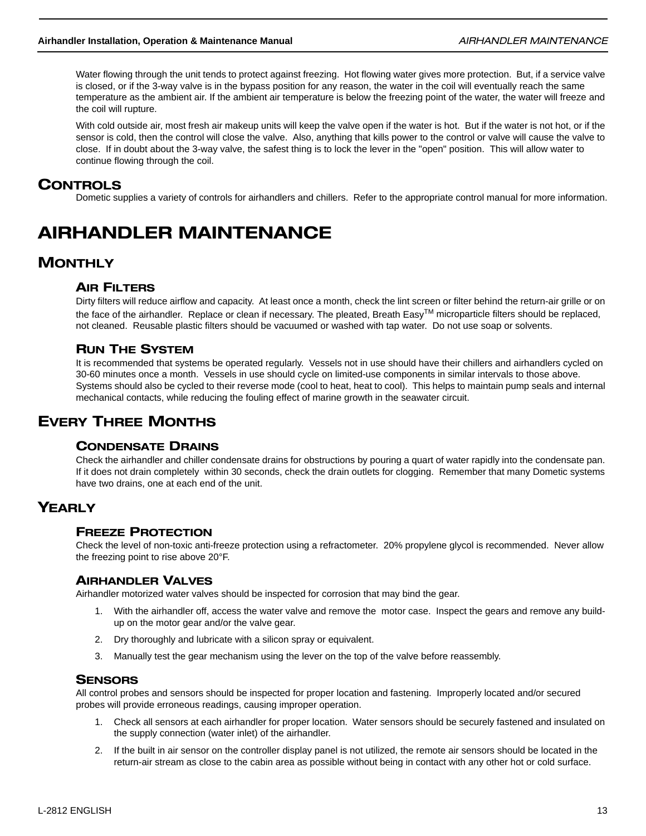Water flowing through the unit tends to protect against freezing. Hot flowing water gives more protection. But, if a service valve is closed, or if the 3-way valve is in the bypass position for any reason, the water in the coil will eventually reach the same temperature as the ambient air. If the ambient air temperature is below the freezing point of the water, the water will freeze and the coil will rupture.

With cold outside air, most fresh air makeup units will keep the valve open if the water is hot. But if the water is not hot, or if the sensor is cold, then the control will close the valve. Also, anything that kills power to the control or valve will cause the valve to close. If in doubt about the 3-way valve, the safest thing is to lock the lever in the "open" position. This will allow water to continue flowing through the coil.

### CONTROLS

Dometic supplies a variety of controls for airhandlers and chillers. Refer to the appropriate control manual for more information.

# AIRHANDLER MAINTENANCE

## **MONTHLY**

#### AIR FILTERS

Dirty filters will reduce airflow and capacity. At least once a month, check the lint screen or filter behind the return-air grille or on the face of the airhandler. Replace or clean if necessary. The pleated, Breath Easy™ microparticle filters should be replaced, not cleaned. Reusable plastic filters should be vacuumed or washed with tap water. Do not use soap or solvents.

#### RUN THE SYSTEM

It is recommended that systems be operated regularly. Vessels not in use should have their chillers and airhandlers cycled on 30-60 minutes once a month. Vessels in use should cycle on limited-use components in similar intervals to those above. Systems should also be cycled to their reverse mode (cool to heat, heat to cool). This helps to maintain pump seals and internal mechanical contacts, while reducing the fouling effect of marine growth in the seawater circuit.

# EVERY THREE MONTHS

#### CONDENSATE DRAINS

Check the airhandler and chiller condensate drains for obstructions by pouring a quart of water rapidly into the condensate pan. If it does not drain completely within 30 seconds, check the drain outlets for clogging. Remember that many Dometic systems have two drains, one at each end of the unit.

# YEARLY

#### FREEZE PROTECTION

Check the level of non-toxic anti-freeze protection using a refractometer. 20% propylene glycol is recommended. Never allow the freezing point to rise above 20°F.

#### AIRHANDLER VALVES

Airhandler motorized water valves should be inspected for corrosion that may bind the gear.

- 1. With the airhandler off, access the water valve and remove the motor case. Inspect the gears and remove any buildup on the motor gear and/or the valve gear.
- 2. Dry thoroughly and lubricate with a silicon spray or equivalent.
- 3. Manually test the gear mechanism using the lever on the top of the valve before reassembly.

#### **SENSORS**

All control probes and sensors should be inspected for proper location and fastening. Improperly located and/or secured probes will provide erroneous readings, causing improper operation.

- 1. Check all sensors at each airhandler for proper location. Water sensors should be securely fastened and insulated on the supply connection (water inlet) of the airhandler.
- 2. If the built in air sensor on the controller display panel is not utilized, the remote air sensors should be located in the return-air stream as close to the cabin area as possible without being in contact with any other hot or cold surface.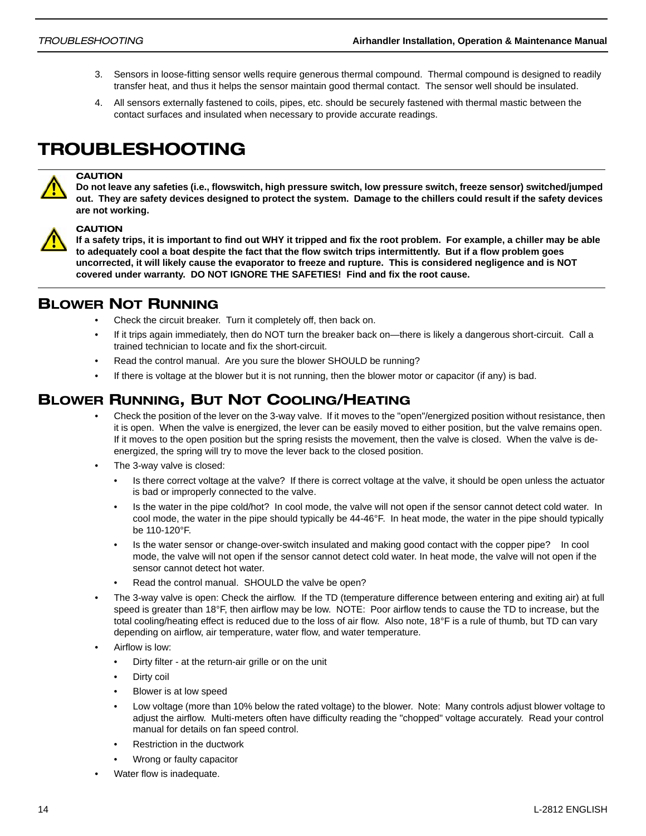- 3. Sensors in loose-fitting sensor wells require generous thermal compound. Thermal compound is designed to readily transfer heat, and thus it helps the sensor maintain good thermal contact. The sensor well should be insulated.
- 4. All sensors externally fastened to coils, pipes, etc. should be securely fastened with thermal mastic between the contact surfaces and insulated when necessary to provide accurate readings.

# TROUBLESHOOTING



#### **CAUTION**

**Do not leave any safeties (i.e., flowswitch, high pressure switch, low pressure switch, freeze sensor) switched/jumped out. They are safety devices designed to protect the system. Damage to the chillers could result if the safety devices are not working.**



#### **CAUTION**

**If a safety trips, it is important to find out WHY it tripped and fix the root problem. For example, a chiller may be able to adequately cool a boat despite the fact that the flow switch trips intermittently. But if a flow problem goes uncorrected, it will likely cause the evaporator to freeze and rupture. This is considered negligence and is NOT covered under warranty. DO NOT IGNORE THE SAFETIES! Find and fix the root cause.**

# BLOWER NOT RUNNING

- Check the circuit breaker. Turn it completely off, then back on.
- If it trips again immediately, then do NOT turn the breaker back on—there is likely a dangerous short-circuit. Call a trained technician to locate and fix the short-circuit.
- Read the control manual. Are you sure the blower SHOULD be running?
- If there is voltage at the blower but it is not running, then the blower motor or capacitor (if any) is bad.

# BLOWER RUNNING, BUT NOT COOLING/HEATING

- Check the position of the lever on the 3-way valve. If it moves to the "open"/energized position without resistance, then it is open. When the valve is energized, the lever can be easily moved to either position, but the valve remains open. If it moves to the open position but the spring resists the movement, then the valve is closed. When the valve is deenergized, the spring will try to move the lever back to the closed position.
- The 3-way valve is closed:
	- Is there correct voltage at the valve? If there is correct voltage at the valve, it should be open unless the actuator is bad or improperly connected to the valve.
	- Is the water in the pipe cold/hot? In cool mode, the valve will not open if the sensor cannot detect cold water. In cool mode, the water in the pipe should typically be 44-46°F. In heat mode, the water in the pipe should typically be 110-120°F.
	- Is the water sensor or change-over-switch insulated and making good contact with the copper pipe? In cool mode, the valve will not open if the sensor cannot detect cold water. In heat mode, the valve will not open if the sensor cannot detect hot water.
	- Read the control manual. SHOULD the valve be open?
- The 3-way valve is open: Check the airflow. If the TD (temperature difference between entering and exiting air) at full speed is greater than 18°F, then airflow may be low. NOTE: Poor airflow tends to cause the TD to increase, but the total cooling/heating effect is reduced due to the loss of air flow. Also note, 18°F is a rule of thumb, but TD can vary depending on airflow, air temperature, water flow, and water temperature.
- Airflow is low:
	- Dirty filter at the return-air grille or on the unit
	- Dirty coil
	- Blower is at low speed
	- Low voltage (more than 10% below the rated voltage) to the blower. Note: Many controls adjust blower voltage to adjust the airflow. Multi-meters often have difficulty reading the "chopped" voltage accurately. Read your control manual for details on fan speed control.
	- Restriction in the ductwork
	- Wrong or faulty capacitor
	- Water flow is inadequate.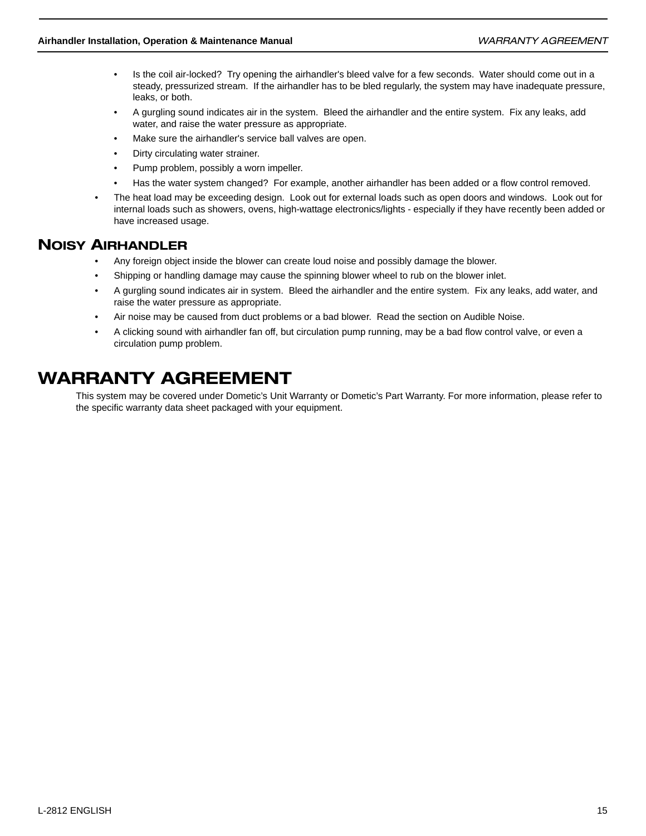- Is the coil air-locked? Try opening the airhandler's bleed valve for a few seconds. Water should come out in a steady, pressurized stream. If the airhandler has to be bled regularly, the system may have inadequate pressure, leaks, or both.
- A gurgling sound indicates air in the system. Bleed the airhandler and the entire system. Fix any leaks, add water, and raise the water pressure as appropriate.
- Make sure the airhandler's service ball valves are open.
- Dirty circulating water strainer.
- Pump problem, possibly a worn impeller.
- Has the water system changed? For example, another airhandler has been added or a flow control removed.
- The heat load may be exceeding design. Look out for external loads such as open doors and windows. Look out for internal loads such as showers, ovens, high-wattage electronics/lights - especially if they have recently been added or have increased usage.

### NOISY AIRHANDLER

- Any foreign object inside the blower can create loud noise and possibly damage the blower.
- Shipping or handling damage may cause the spinning blower wheel to rub on the blower inlet.
- A gurgling sound indicates air in system. Bleed the airhandler and the entire system. Fix any leaks, add water, and raise the water pressure as appropriate.
- Air noise may be caused from duct problems or a bad blower. Read the section on Audible Noise.
- A clicking sound with airhandler fan off, but circulation pump running, may be a bad flow control valve, or even a circulation pump problem.

# WARRANTY AGREEMENT

This system may be covered under Dometic's Unit Warranty or Dometic's Part Warranty. For more information, please refer to the specific warranty data sheet packaged with your equipment.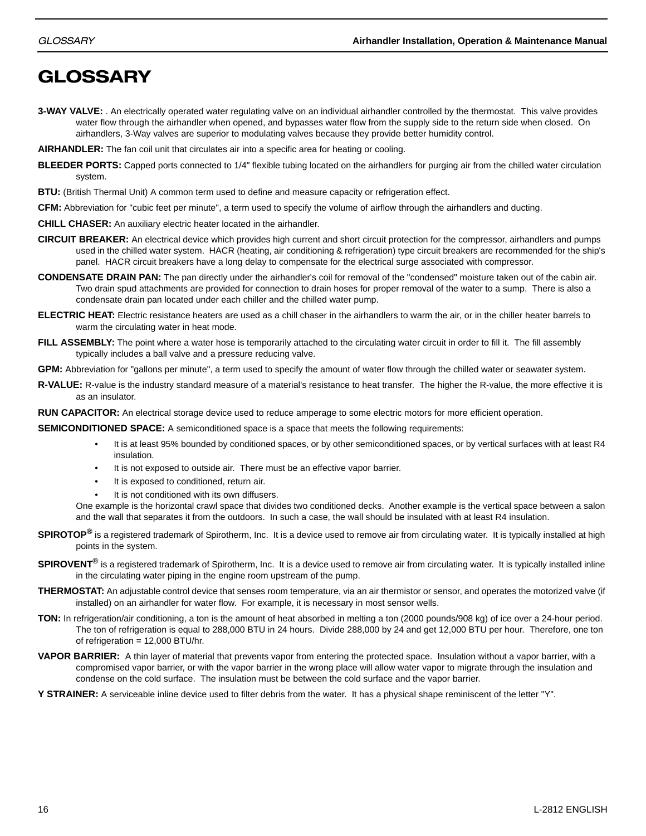# GLOSSARY

- **3-WAY VALVE:** . An electrically operated water regulating valve on an individual airhandler controlled by the thermostat. This valve provides water flow through the airhandler when opened, and bypasses water flow from the supply side to the return side when closed. On airhandlers, 3-Way valves are superior to modulating valves because they provide better humidity control.
- **AIRHANDLER:** The fan coil unit that circulates air into a specific area for heating or cooling.
- **BLEEDER PORTS:** Capped ports connected to 1/4" flexible tubing located on the airhandlers for purging air from the chilled water circulation system.
- **BTU:** (British Thermal Unit) A common term used to define and measure capacity or refrigeration effect.
- **CFM:** Abbreviation for "cubic feet per minute", a term used to specify the volume of airflow through the airhandlers and ducting.
- **CHILL CHASER:** An auxiliary electric heater located in the airhandler.
- **CIRCUIT BREAKER:** An electrical device which provides high current and short circuit protection for the compressor, airhandlers and pumps used in the chilled water system. HACR (heating, air conditioning & refrigeration) type circuit breakers are recommended for the ship's panel. HACR circuit breakers have a long delay to compensate for the electrical surge associated with compressor.
- **CONDENSATE DRAIN PAN:** The pan directly under the airhandler's coil for removal of the "condensed" moisture taken out of the cabin air. Two drain spud attachments are provided for connection to drain hoses for proper removal of the water to a sump. There is also a condensate drain pan located under each chiller and the chilled water pump.
- **ELECTRIC HEAT:** Electric resistance heaters are used as a chill chaser in the airhandlers to warm the air, or in the chiller heater barrels to warm the circulating water in heat mode.
- FILL ASSEMBLY: The point where a water hose is temporarily attached to the circulating water circuit in order to fill it. The fill assembly typically includes a ball valve and a pressure reducing valve.
- **GPM:** Abbreviation for "gallons per minute", a term used to specify the amount of water flow through the chilled water or seawater system.
- **R-VALUE:** R-value is the industry standard measure of a material's resistance to heat transfer. The higher the R-value, the more effective it is as an insulator.
- **RUN CAPACITOR:** An electrical storage device used to reduce amperage to some electric motors for more efficient operation.

**SEMICONDITIONED SPACE:** A semiconditioned space is a space that meets the following requirements:

- It is at least 95% bounded by conditioned spaces, or by other semiconditioned spaces, or by vertical surfaces with at least R4 insulation.
- It is not exposed to outside air. There must be an effective vapor barrier.
- It is exposed to conditioned, return air.
- It is not conditioned with its own diffusers.

One example is the horizontal crawl space that divides two conditioned decks. Another example is the vertical space between a salon and the wall that separates it from the outdoors. In such a case, the wall should be insulated with at least R4 insulation.

- **SPIROTOP®** is a registered trademark of Spirotherm, Inc. It is a device used to remove air from circulating water. It is typically installed at high points in the system.
- **SPIROVENT<sup>®</sup>** is a registered trademark of Spirotherm, Inc. It is a device used to remove air from circulating water. It is typically installed inline in the circulating water piping in the engine room upstream of the pump.
- **THERMOSTAT:** An adjustable control device that senses room temperature, via an air thermistor or sensor, and operates the motorized valve (if installed) on an airhandler for water flow. For example, it is necessary in most sensor wells.
- **TON:** In refrigeration/air conditioning, a ton is the amount of heat absorbed in melting a ton (2000 pounds/908 kg) of ice over a 24-hour period. The ton of refrigeration is equal to 288,000 BTU in 24 hours. Divide 288,000 by 24 and get 12,000 BTU per hour. Therefore, one ton of refrigeration = 12,000 BTU/hr.
- **VAPOR BARRIER:** A thin layer of material that prevents vapor from entering the protected space. Insulation without a vapor barrier, with a compromised vapor barrier, or with the vapor barrier in the wrong place will allow water vapor to migrate through the insulation and condense on the cold surface. The insulation must be between the cold surface and the vapor barrier.
- **Y STRAINER:** A serviceable inline device used to filter debris from the water. It has a physical shape reminiscent of the letter "Y".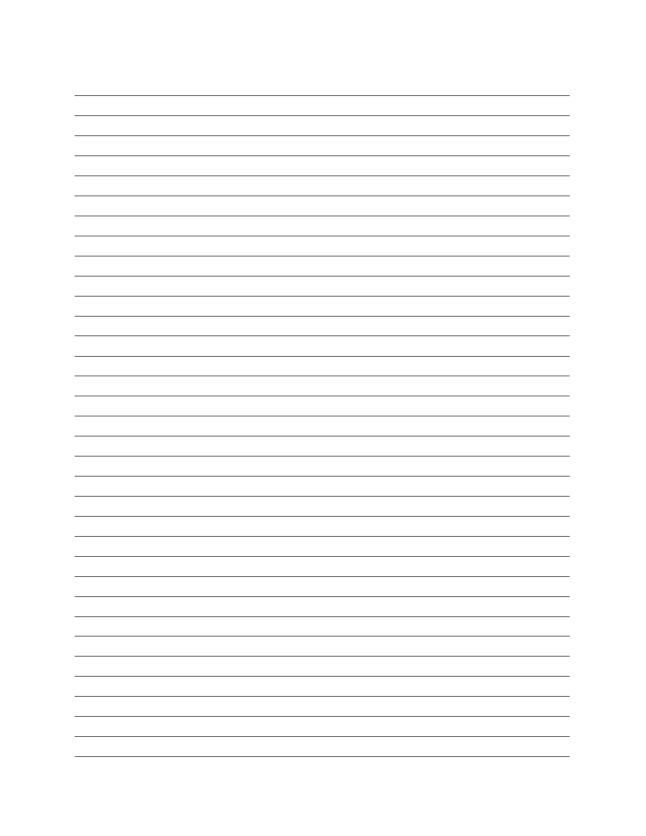